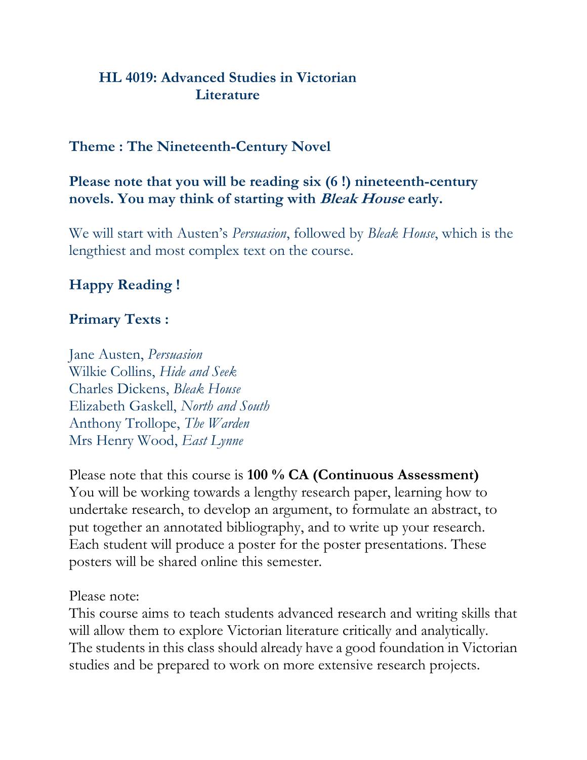### **HL 4019: Advanced Studies in Victorian Literature**

### **Theme : The Nineteenth-Century Novel**

#### **Please note that you will be reading six (6 !) nineteenth-century novels. You may think of starting with Bleak House early.**

We will start with Austen's *Persuasion*, followed by *Bleak House*, which is the lengthiest and most complex text on the course.

## **Happy Reading !**

#### **Primary Texts :**

Jane Austen, *Persuasion* Wilkie Collins, *Hide and Seek* Charles Dickens, *Bleak House* Elizabeth Gaskell, *North and South* Anthony Trollope, *The Warden* Mrs Henry Wood, *East Lynne*

Please note that this course is **100 % CA (Continuous Assessment)** You will be working towards a lengthy research paper, learning how to undertake research, to develop an argument, to formulate an abstract, to put together an annotated bibliography, and to write up your research. Each student will produce a poster for the poster presentations. These posters will be shared online this semester.

Please note:

This course aims to teach students advanced research and writing skills that will allow them to explore Victorian literature critically and analytically. The students in this class should already have a good foundation in Victorian studies and be prepared to work on more extensive research projects.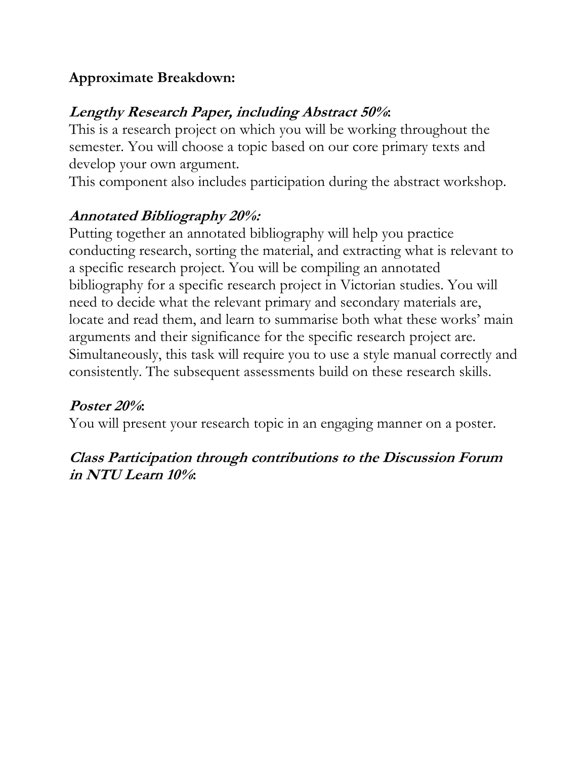# **Approximate Breakdown:**

# **Lengthy Research Paper, including Abstract 50%:**

This is a research project on which you will be working throughout the semester. You will choose a topic based on our core primary texts and develop your own argument.

This component also includes participation during the abstract workshop.

# **Annotated Bibliography 20%:**

Putting together an annotated bibliography will help you practice conducting research, sorting the material, and extracting what is relevant to a specific research project. You will be compiling an annotated bibliography for a specific research project in Victorian studies. You will need to decide what the relevant primary and secondary materials are, locate and read them, and learn to summarise both what these works' main arguments and their significance for the specific research project are. Simultaneously, this task will require you to use a style manual correctly and consistently. The subsequent assessments build on these research skills.

## **Poster 20%:**

You will present your research topic in an engaging manner on a poster.

## **Class Participation through contributions to the Discussion Forum in NTU Learn 10%:**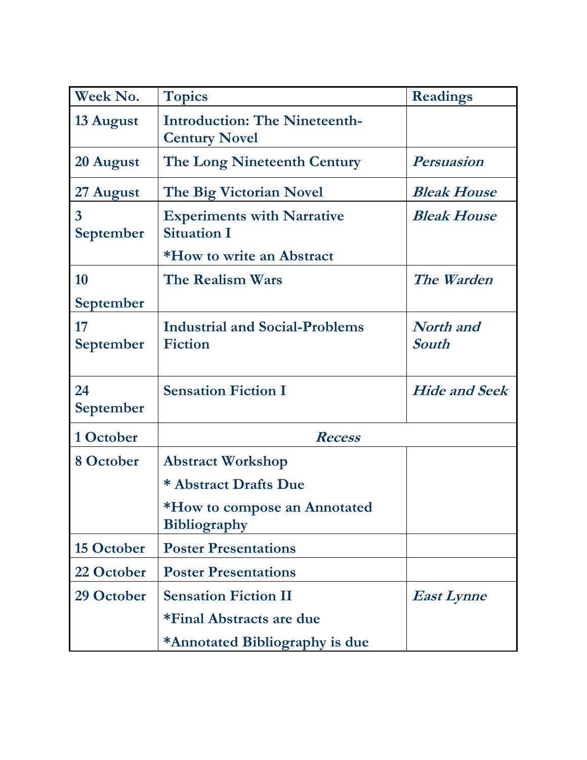| Week No.                    | <b>Topics</b>                                                | <b>Readings</b>                  |
|-----------------------------|--------------------------------------------------------------|----------------------------------|
| 13 August                   | <b>Introduction: The Nineteenth-</b><br><b>Century Novel</b> |                                  |
| 20 August                   | <b>The Long Nineteenth Century</b>                           | <b>Persuasion</b>                |
| 27 August                   | The Big Victorian Novel                                      | <b>Bleak House</b>               |
| $\overline{3}$<br>September | <b>Experiments with Narrative</b><br><b>Situation I</b>      | <b>Bleak House</b>               |
|                             | *How to write an Abstract                                    |                                  |
| 10                          | <b>The Realism Wars</b>                                      | The Warden                       |
| September                   |                                                              |                                  |
| 17<br>September             | <b>Industrial and Social-Problems</b><br><b>Fiction</b>      | <b>North</b> and<br><b>South</b> |
| 24<br>September             | <b>Sensation Fiction I</b>                                   | <b>Hide and Seek</b>             |
| 1 October                   | <b>Recess</b>                                                |                                  |
| 8 October                   | <b>Abstract Workshop</b>                                     |                                  |
|                             | * Abstract Drafts Due                                        |                                  |
|                             | *How to compose an Annotated<br><b>Bibliography</b>          |                                  |
| 15 October                  | <b>Poster Presentations</b>                                  |                                  |
| 22 October                  | <b>Poster Presentations</b>                                  |                                  |
| 29 October                  | <b>Sensation Fiction II</b>                                  | <b>East Lynne</b>                |
|                             | *Final Abstracts are due                                     |                                  |
|                             | *Annotated Bibliography is due                               |                                  |